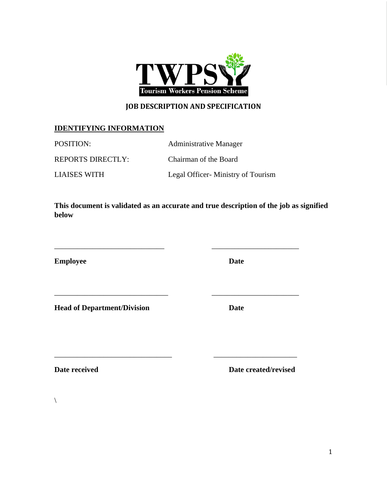

# **JOB DESCRIPTION AND SPECIFICATION**

# **IDENTIFYING INFORMATION**

POSITION: Administrative Manager

REPORTS DIRECTLY: Chairman of the Board

LIAISES WITH Legal Officer- Ministry of Tourism

**This document is validated as an accurate and true description of the job as signified below**

\_\_\_\_\_\_\_\_\_\_\_\_\_\_\_\_\_\_\_\_\_\_\_\_\_\_\_\_\_ \_\_\_\_\_\_\_\_\_\_\_\_\_\_\_\_\_\_\_\_\_\_\_

\_\_\_\_\_\_\_\_\_\_\_\_\_\_\_\_\_\_\_\_\_\_\_\_\_\_\_\_\_\_ \_\_\_\_\_\_\_\_\_\_\_\_\_\_\_\_\_\_\_\_\_\_\_

\_\_\_\_\_\_\_\_\_\_\_\_\_\_\_\_\_\_\_\_\_\_\_\_\_\_\_\_\_\_\_ \_\_\_\_\_\_\_\_\_\_\_\_\_\_\_\_\_\_\_\_\_\_

**Employee Date** 

**Head of Department/Division Date**

**Date received Date created/revised Date created/revised** 

 $\setminus$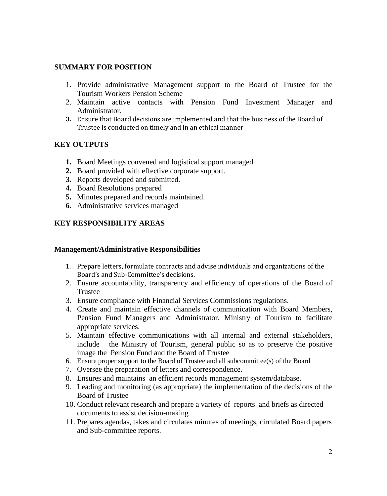#### **SUMMARY FOR POSITION**

- 1. Provide administrative Management support to the Board of Trustee for the Tourism Workers Pension Scheme
- 2. Maintain active contacts with Pension Fund Investment Manager and Administrator.
- **3.** Ensure that Board decisions are implemented and that the business of the Board of Trustee is conducted on timely and in an ethical manner

### **KEY OUTPUTS**

- **1.** Board Meetings convened and logistical support managed.
- **2.** Board provided with effective corporate support.
- **3.** Reports developed and submitted.
- **4.** Board Resolutions prepared
- **5.** Minutes prepared and records maintained.
- **6.** Administrative services managed

### **KEY RESPONSIBILITY AREAS**

#### **Management/Administrative Responsibilities**

- 1. Prepare letters, formulate contracts and advise individuals and organizations of the Board's and Sub-Committee's decisions.
- 2. Ensure accountability, transparency and efficiency of operations of the Board of Trustee
- 3. Ensure compliance with Financial Services Commissions regulations.
- 4. Create and maintain effective channels of communication with Board Members, Pension Fund Managers and Administrator, Ministry of Tourism to facilitate appropriate services.
- 5. Maintain effective communications with all internal and external stakeholders, include the Ministry of Tourism, general public so as to preserve the positive image the Pension Fund and the Board of Trustee
- 6. Ensure proper support to the Board of Trustee and all subcommittee(s) of the Board
- 7. Oversee the preparation of letters and correspondence.
- 8. Ensures and maintains an efficient records management system/database.
- 9. Leading and monitoring (as appropriate) the implementation of the decisions of the Board of Trustee
- 10. Conduct relevant research and prepare a variety of reports and briefs as directed documents to assist decision-making
- 11. Prepares agendas, takes and circulates minutes of meetings, circulated Board papers and Sub-committee reports.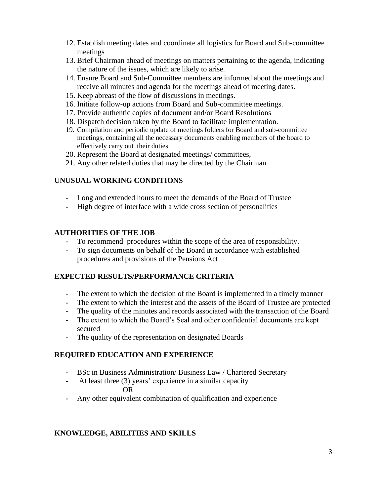- 12. Establish meeting dates and coordinate all logistics for Board and Sub-committee meetings
- 13. Brief Chairman ahead of meetings on matters pertaining to the agenda, indicating the nature of the issues, which are likely to arise.
- 14. Ensure Board and Sub-Committee members are informed about the meetings and receive all minutes and agenda for the meetings ahead of meeting dates.
- 15. Keep abreast of the flow of discussions in meetings.
- 16. Initiate follow-up actions from Board and Sub-committee meetings.
- 17. Provide authentic copies of document and/or Board Resolutions
- 18. Dispatch decision taken by the Board to facilitate implementation.
- 19. Compilation and periodic update of meetings folders for Board and sub-committee meetings, containing all the necessary documents enabling members of the board to effectively carry out their duties
- 20. Represent the Board at designated meetings/ committees,
- 21. Any other related duties that may be directed by the Chairman

### **UNUSUAL WORKING CONDITIONS**

- **-** Long and extended hours to meet the demands of the Board of Trustee
- **-** High degree of interface with a wide cross section of personalities

### **AUTHORITIES OF THE JOB**

- **-** To recommend procedures within the scope of the area of responsibility.
- **-** To sign documents on behalf of the Board in accordance with established procedures and provisions of the Pensions Act

### **EXPECTED RESULTS/PERFORMANCE CRITERIA**

- **-** The extent to which the decision of the Board is implemented in a timely manner
- **-** The extent to which the interest and the assets of the Board of Trustee are protected
- **-** The quality of the minutes and records associated with the transaction of the Board
- **-** The extent to which the Board's Seal and other confidential documents are kept secured
- **-** The quality of the representation on designated Boards

### **REQUIRED EDUCATION AND EXPERIENCE**

- **-** BSc in Business Administration/ Business Law / Chartered Secretary
- **-** At least three (3) years' experience in a similar capacity OR
- **-** Any other equivalent combination of qualification and experience

# **KNOWLEDGE, ABILITIES AND SKILLS**